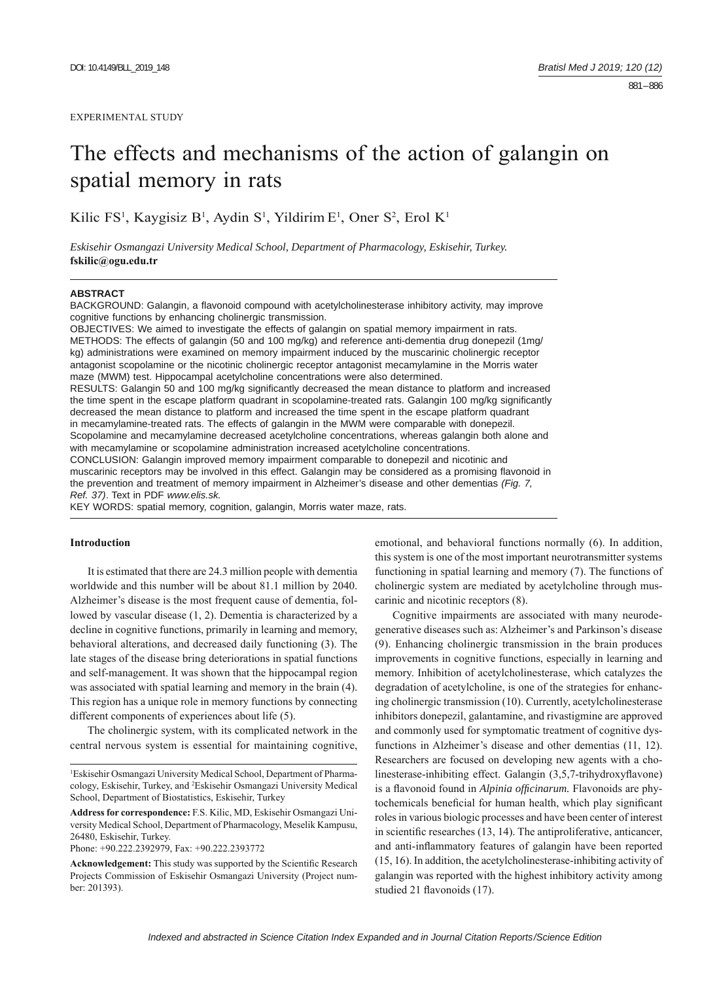# The effects and mechanisms of the action of galangin on spatial memory in rats

Kilic FS<sup>1</sup>, Kaygisiz B<sup>1</sup>, Aydin S<sup>1</sup>, Yildirim E<sup>1</sup>, Oner S<sup>2</sup>, Erol K<sup>1</sup>

*Eskisehir Osmangazi University Medical School, Department of Pharmacology, Eskisehir, Turkey.*  **fskilic@ogu.edu.tr**

#### **ABSTRACT**

BACKGROUND: Galangin, a flavonoid compound with acetylcholinesterase inhibitory activity, may improve cognitive functions by enhancing cholinergic transmission.

OBJECTIVES: We aimed to investigate the effects of galangin on spatial memory impairment in rats. METHODS: The effects of galangin (50 and 100 mg/kg) and reference anti-dementia drug donepezil (1mg/ kg) administrations were examined on memory impairment induced by the muscarinic cholinergic receptor antagonist scopolamine or the nicotinic cholinergic receptor antagonist mecamylamine in the Morris water maze (MWM) test. Hippocampal acetylcholine concentrations were also determined. RESULTS: Galangin 50 and 100 mg/kg significantly decreased the mean distance to platform and increased the time spent in the escape platform quadrant in scopolamine-treated rats. Galangin 100 mg/kg significantly decreased the mean distance to platform and increased the time spent in the escape platform quadrant in mecamylamine-treated rats. The effects of galangin in the MWM were comparable with donepezil. Scopolamine and mecamylamine decreased acetylcholine concentrations, whereas galangin both alone and with mecamylamine or scopolamine administration increased acetylcholine concentrations. CONCLUSION: Galangin improved memory impairment comparable to donepezil and nicotinic and muscarinic receptors may be involved in this effect. Galangin may be considered as a promising flavonoid in the prevention and treatment of memory impairment in Alzheimer's disease and other dementias *(Fig. 7, Ref. 37)*. Text in PDF *www.elis.sk.*

KEY WORDS: spatial memory, cognition, galangin, Morris water maze, rats.

# **Introduction**

It is estimated that there are 24.3 million people with dementia worldwide and this number will be about 81.1 million by 2040. Alzheimer's disease is the most frequent cause of dementia, followed by vascular disease (1, 2). Dementia is characterized by a decline in cognitive functions, primarily in learning and memory, behavioral alterations, and decreased daily functioning (3). The late stages of the disease bring deteriorations in spatial functions and self-management. It was shown that the hippocampal region was associated with spatial learning and memory in the brain (4). This region has a unique role in memory functions by connecting different components of experiences about life (5).

The cholinergic system, with its complicated network in the central nervous system is essential for maintaining cognitive,

1 Eskisehir Osmangazi University Medical School, Department of Pharmacology, Eskisehir, Turkey, and 2 Eskisehir Osmangazi University Medical School, Department of Biostatistics, Eskisehir, Turkey

**Address for correspondence:** F.S. Kilic, MD, Eskisehir Osmangazi University Medical School, Department of Pharmacology, Meselik Kampusu, 26480, Eskisehir, Turkey.

Phone: +90.222.2392979, Fax: +90.222.2393772

Acknowledgement: This study was supported by the Scientific Research Projects Commission of Eskisehir Osmangazi University (Project number: 201393).

emotional, and behavioral functions normally (6). In addition, this system is one of the most important neurotransmitter systems functioning in spatial learning and memory (7). The functions of cholinergic system are mediated by acetylcholine through muscarinic and nicotinic receptors (8).

Cognitive impairments are associated with many neurodegenerative diseases such as: Alzheimer's and Parkinson's disease (9). Enhancing cholinergic transmission in the brain produces improvements in cognitive functions, especially in learning and memory. Inhibition of acetylcholinesterase, which catalyzes the degradation of acetylcholine, is one of the strategies for enhancing cholinergic transmission (10). Currently, acetylcholinesterase inhibitors donepezil, galantamine, and rivastigmine are approved and commonly used for symptomatic treatment of cognitive dysfunctions in Alzheimer's disease and other dementias (11, 12). Researchers are focused on developing new agents with a cholinesterase-inhibiting effect. Galangin (3,5,7-trihydroxyflavone) is a flavonoid found in *Alpinia officinarum*. Flavonoids are phytochemicals beneficial for human health, which play significant roles in various biologic processes and have been center of interest in scientific researches  $(13, 14)$ . The antiproliferative, anticancer, and anti-inflammatory features of galangin have been reported (15, 16). In addition, the acetylcholinesterase-inhibiting activity of galangin was reported with the highest inhibitory activity among studied 21 flavonoids (17).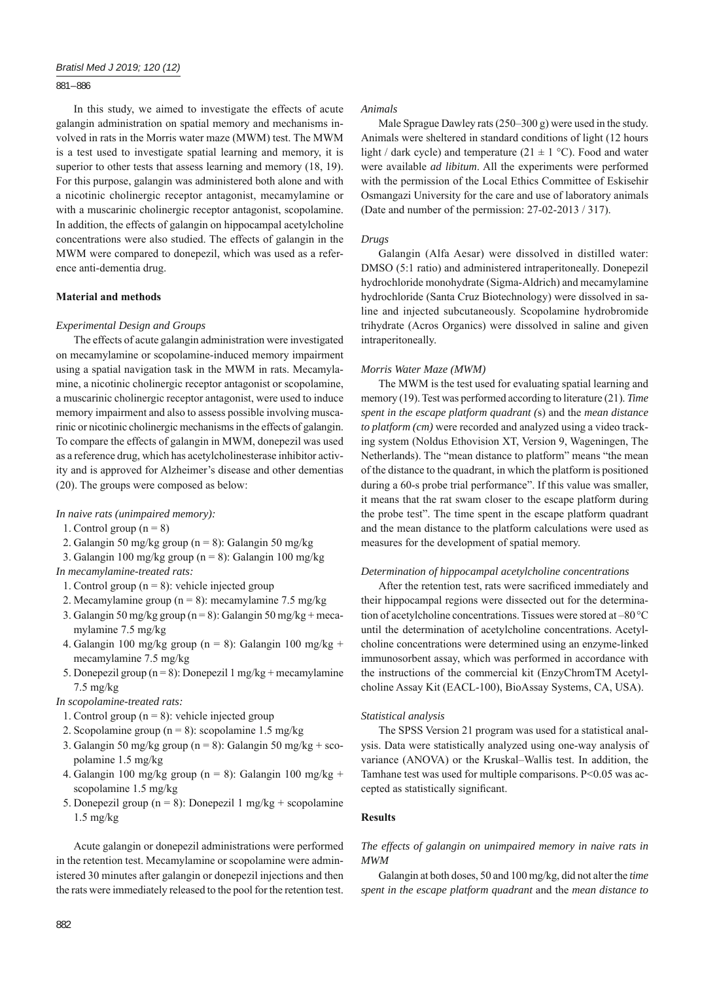## 881 – 886

In this study, we aimed to investigate the effects of acute galangin administration on spatial memory and mechanisms involved in rats in the Morris water maze (MWM) test. The MWM is a test used to investigate spatial learning and memory, it is superior to other tests that assess learning and memory  $(18, 19)$ . For this purpose, galangin was administered both alone and with a nicotinic cholinergic receptor antagonist, mecamylamine or with a muscarinic cholinergic receptor antagonist, scopolamine. In addition, the effects of galangin on hippocampal acetylcholine concentrations were also studied. The effects of galangin in the MWM were compared to donepezil, which was used as a reference anti-dementia drug.

#### **Material and methods**

#### *Experimental Design and Groups*

The effects of acute galangin administration were investigated on mecamylamine or scopolamine-induced memory impairment using a spatial navigation task in the MWM in rats. Mecamylamine, a nicotinic cholinergic receptor antagonist or scopolamine, a muscarinic cholinergic receptor antagonist, were used to induce memory impairment and also to assess possible involving muscarinic or nicotinic cholinergic mechanisms in the effects of galangin. To compare the effects of galangin in MWM, donepezil was used as a reference drug, which has acetylcholinesterase inhibitor activity and is approved for Alzheimer's disease and other dementias (20). The groups were composed as below:

#### *In naive rats (unimpaired memory):*

- 1. Control group  $(n = 8)$
- 2. Galangin 50 mg/kg group (n = 8): Galangin 50 mg/kg

3. Galangin 100 mg/kg group (n = 8): Galangin 100 mg/kg *In mecamylamine-treated rats:* 

- 1. Control group ( $n = 8$ ): vehicle injected group
- 2. Mecamylamine group ( $n = 8$ ): mecamylamine 7.5 mg/kg
- 3. Galangin 50 mg/kg group (n = 8): Galangin 50 mg/kg + mecamylamine 7.5 mg/kg
- 4. Galangin 100 mg/kg group (n = 8): Galangin 100 mg/kg + mecamylamine 7.5 mg/kg
- 5. Donepezil group (n = 8): Donepezil 1 mg/kg + mecamylamine 7.5 mg/kg

## *In scopolamine-treated rats:*

- 1. Control group ( $n = 8$ ): vehicle injected group
- 2. Scopolamine group (n = 8): scopolamine 1.5 mg/kg
- 3. Galangin 50 mg/kg group (n = 8): Galangin 50 mg/kg + scopolamine 1.5 mg/kg
- 4. Galangin 100 mg/kg group (n = 8): Galangin 100 mg/kg + scopolamine 1.5 mg/kg
- 5. Donepezil group ( $n = 8$ ): Donepezil 1 mg/kg + scopolamine 1.5 mg/kg

Acute galangin or donepezil administrations were performed in the retention test. Mecamylamine or scopolamine were administered 30 minutes after galangin or donepezil injections and then the rats were immediately released to the pool for the retention test.

#### *Animals*

Male Sprague Dawley rats (250–300 g) were used in the study. Animals were sheltered in standard conditions of light (12 hours light / dark cycle) and temperature  $(21 \pm 1 \degree C)$ . Food and water were available *ad libitum*. All the experiments were performed with the permission of the Local Ethics Committee of Eskisehir Osmangazi University for the care and use of laboratory animals (Date and number of the permission: 27-02-2013 / 317).

#### *Drugs*

Galangin (Alfa Aesar) were dissolved in distilled water: DMSO (5:1 ratio) and administered intraperitoneally. Donepezil hydrochloride monohydrate (Sigma-Aldrich) and mecamylamine hydrochloride (Santa Cruz Biotechnology) were dissolved in saline and injected subcutaneously. Scopolamine hydrobromide trihydrate (Acros Organics) were dissolved in saline and given intraperitoneally.

#### *Morris Water Maze (MWM)*

The MWM is the test used for evaluating spatial learning and memory (19). Test was performed according to literature (21). *Time spent in the escape platform quadrant (*s) and the *mean distance to platform (cm)* were recorded and analyzed using a video tracking system (Noldus Ethovision XT, Version 9, Wageningen, The Netherlands). The "mean distance to platform" means "the mean of the distance to the quadrant, in which the platform is positioned during a 60-s probe trial performance". If this value was smaller, it means that the rat swam closer to the escape platform during the probe test". The time spent in the escape platform quadrant and the mean distance to the platform calculations were used as measures for the development of spatial memory.

#### *Determination of hippocampal acetylcholine concentrations*

After the retention test, rats were sacrificed immediately and their hippocampal regions were dissected out for the determination of acetylcholine concentrations. Tissues were stored at –80 °C until the determination of acetylcholine concentrations. Acetylcholine concentrations were determined using an enzyme-linked immunosorbent assay, which was performed in accordance with the instructions of the commercial kit (EnzyChromTM Acetylcholine Assay Kit (EACL-100), BioAssay Systems, CA, USA).

# *Statistical analysis*

The SPSS Version 21 program was used for a statistical analysis. Data were statistically analyzed using one-way analysis of variance (ANOVA) or the Kruskal–Wallis test. In addition, the Tamhane test was used for multiple comparisons. P<0.05 was accepted as statistically significant.

## **Results**

*The effects of galangin on unimpaired memory in naive rats in MWM*

Galangin at both doses, 50 and 100 mg/kg, did not alter the *time spent in the escape platform quadrant* and the *mean distance to*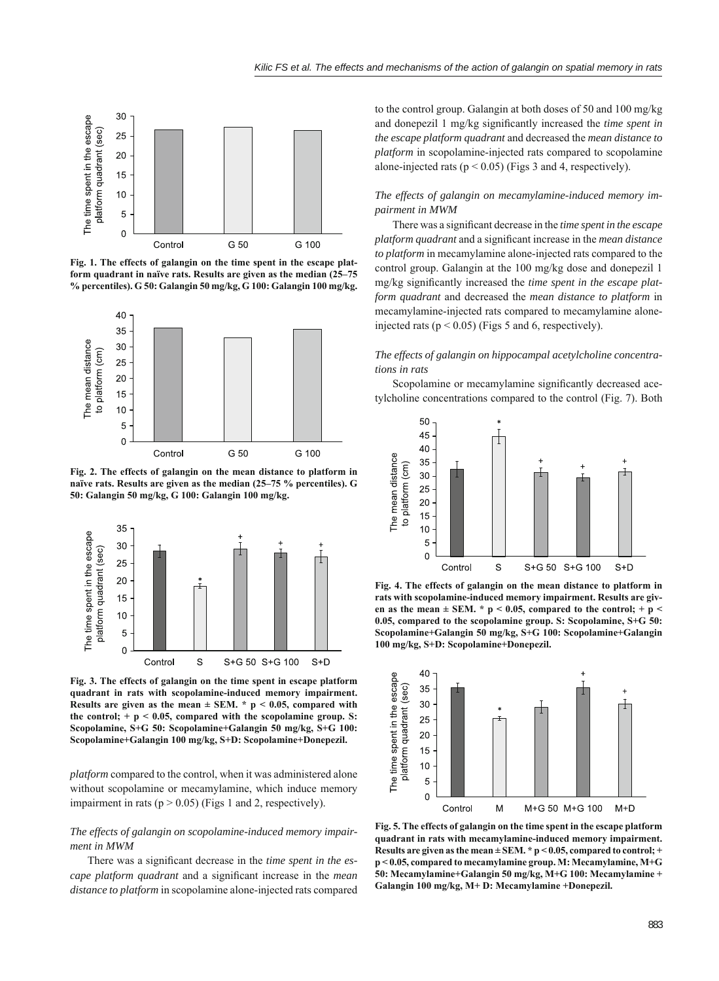

**Fig. 1. The effects of galangin on the time spent in the escape platform quadrant in naïve rats. Results are given as the median (25–75 % percentiles). G 50: Galangin 50 mg/kg, G 100: Galangin 100 mg/kg.**



**Fig. 2. The effects of galangin on the mean distance to platform in naïve rats. Results are given as the median (25–75 % percentiles). G 50: Galangin 50 mg/kg, G 100: Galangin 100 mg/kg.**



**Fig. 3. The effects of galangin on the time spent in escape platform quadrant in rats with scopolamine-induced memory impairment. Results are given as the mean**  $\pm$  **SEM.**  $*$   $p < 0.05$ , compared with the control;  $+ p < 0.05$ , compared with the scopolamine group. S: **Scopolamine, S+G 50: Scopolamine+Galangin 50 mg/kg, S+G 100: Scopolamine+Galangin 100 mg/kg, S+D: Scopolamine+Donepezil.**

*platform* compared to the control, when it was administered alone without scopolamine or mecamylamine, which induce memory impairment in rats ( $p > 0.05$ ) (Figs 1 and 2, respectively).

# *The effects of galangin on scopolamine-induced memory impairment in MWM*

There was a significant decrease in the *time spent in the escape platform quadrant* and a significant increase in the *mean distance to platform* in scopolamine alone-injected rats compared

to the control group. Galangin at both doses of 50 and 100 mg/kg and donepezil 1 mg/kg significantly increased the *time spent in the escape platform quadrant* and decreased the *mean distance to platform* in scopolamine-injected rats compared to scopolamine alone-injected rats ( $p < 0.05$ ) (Figs 3 and 4, respectively).

# *The effects of galangin on mecamylamine-induced memory impairment in MWM*

There was a significant decrease in the *time spent in the escape platform quadrant* and a significant increase in the *mean distance to platform* in mecamylamine alone-injected rats compared to the control group. Galangin at the 100 mg/kg dose and donepezil 1 mg/kg significantly increased the *time spent in the escape platform quadrant* and decreased the *mean distance to platform* in mecamylamine-injected rats compared to mecamylamine aloneinjected rats ( $p < 0.05$ ) (Figs 5 and 6, respectively).

*The effects of galangin on hippocampal acetylcholine concentrations in rats*

Scopolamine or mecamylamine significantly decreased acetylcholine concentrations compared to the control (Fig. 7). Both



**Fig. 4. The effects of galangin on the mean distance to platform in rats with scopolamine-induced memory impairment. Results are giv**en as the mean  $\pm$  SEM. \* p < 0.05, compared to the control; + p < **0.05, compared to the scopolamine group. S: Scopolamine, S+G 50: Scopolamine+Galangin 50 mg/kg, S+G 100: Scopolamine+Galangin 100 mg/kg, S+D: Scopolamine+Donepezil.**



**Fig. 5. The effects of galangin on the time spent in the escape platform quadrant in rats with mecamylamine-induced memory impairment. Results are given as the mean ± SEM. \* p < 0.05, compared to control; + p < 0.05, compared to mecamylamine group. M: Mecamylamine, M+G 50: Mecamylamine+Galangin 50 mg/kg, M+G 100: Mecamylamine + Galangin 100 mg/kg, M+ D: Mecamylamine +Donepezil.**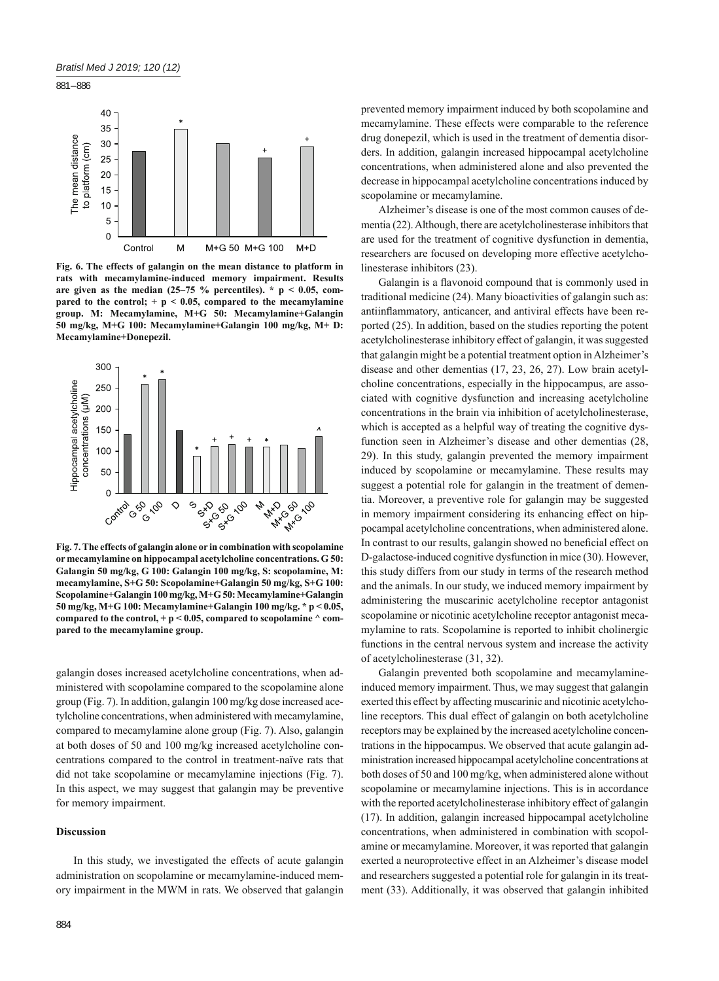

**Fig. 6. The effects of galangin on the mean distance to platform in rats with mecamylamine-induced memory impairment. Results**  are given as the median  $(25-75\%$  percentiles). \*  $p < 0.05$ , com**pared to the control; + p < 0.05, compared to the mecamylamine group. M: Mecamylamine, M+G 50: Mecamylamine+Galangin 50 mg/kg, M+G 100: Mecamylamine+Galangin 100 mg/kg, M+ D: Mecamylamine+Donepezil.**



**Fig. 7. The effects of galangin alone or in combination with scopolamine or mecamylamine on hippocampal acetylcholine concentrations. G 50: Galangin 50 mg/kg, G 100: Galangin 100 mg/kg, S: scopolamine, M: mecamylamine, S+G 50: Scopolamine+Galangin 50 mg/kg, S+G 100: Scopolamine+Galangin 100 mg/kg, M+G 50: Mecamylamine+Galangin 50 mg/kg, M+G 100: Mecamylamine+Galangin 100 mg/kg. \* p < 0.05, compared to the control, + p < 0.05, compared to scopolamine ^ compared to the mecamylamine group.**

galangin doses increased acetylcholine concentrations, when administered with scopolamine compared to the scopolamine alone group (Fig. 7). In addition, galangin 100 mg/kg dose increased acetylcholine concentrations, when administered with mecamylamine, compared to mecamylamine alone group (Fig. 7). Also, galangin at both doses of 50 and 100 mg/kg increased acetylcholine concentrations compared to the control in treatment-naïve rats that did not take scopolamine or mecamylamine injections (Fig. 7). In this aspect, we may suggest that galangin may be preventive for memory impairment.

#### **Discussion**

In this study, we investigated the effects of acute galangin administration on scopolamine or mecamylamine-induced memory impairment in the MWM in rats. We observed that galangin prevented memory impairment induced by both scopolamine and mecamylamine. These effects were comparable to the reference drug donepezil, which is used in the treatment of dementia disorders. In addition, galangin increased hippocampal acetylcholine concentrations, when administered alone and also prevented the decrease in hippocampal acetylcholine concentrations induced by scopolamine or mecamylamine.

Alzheimer's disease is one of the most common causes of dementia (22). Although, there are acetylcholinesterase inhibitors that are used for the treatment of cognitive dysfunction in dementia, researchers are focused on developing more effective acetylcholinesterase inhibitors (23).

Galangin is a flavonoid compound that is commonly used in traditional medicine (24). Many bioactivities of galangin such as: antiinflammatory, anticancer, and antiviral effects have been reported (25). In addition, based on the studies reporting the potent acetylcholinesterase inhibitory effect of galangin, it was suggested that galangin might be a potential treatment option in Alzheimer's disease and other dementias (17, 23, 26, 27). Low brain acetylcholine concentrations, especially in the hippocampus, are associated with cognitive dysfunction and increasing acetylcholine concentrations in the brain via inhibition of acetylcholinesterase, which is accepted as a helpful way of treating the cognitive dysfunction seen in Alzheimer's disease and other dementias (28, 29). In this study, galangin prevented the memory impairment induced by scopolamine or mecamylamine. These results may suggest a potential role for galangin in the treatment of dementia. Moreover, a preventive role for galangin may be suggested in memory impairment considering its enhancing effect on hippocampal acetylcholine concentrations, when administered alone. In contrast to our results, galangin showed no beneficial effect on D-galactose-induced cognitive dysfunction in mice (30). However, this study differs from our study in terms of the research method and the animals. In our study, we induced memory impairment by administering the muscarinic acetylcholine receptor antagonist scopolamine or nicotinic acetylcholine receptor antagonist mecamylamine to rats. Scopolamine is reported to inhibit cholinergic functions in the central nervous system and increase the activity of acetylcholinesterase (31, 32).

Galangin prevented both scopolamine and mecamylamineinduced memory impairment. Thus, we may suggest that galangin exerted this effect by affecting muscarinic and nicotinic acetylcholine receptors. This dual effect of galangin on both acetylcholine receptors may be explained by the increased acetylcholine concentrations in the hippocampus. We observed that acute galangin administration increased hippocampal acetylcholine concentrations at both doses of 50 and 100 mg/kg, when administered alone without scopolamine or mecamylamine injections. This is in accordance with the reported acetylcholinesterase inhibitory effect of galangin (17). In addition, galangin increased hippocampal acetylcholine concentrations, when administered in combination with scopolamine or mecamylamine. Moreover, it was reported that galangin exerted a neuroprotective effect in an Alzheimer's disease model and researchers suggested a potential role for galangin in its treatment (33). Additionally, it was observed that galangin inhibited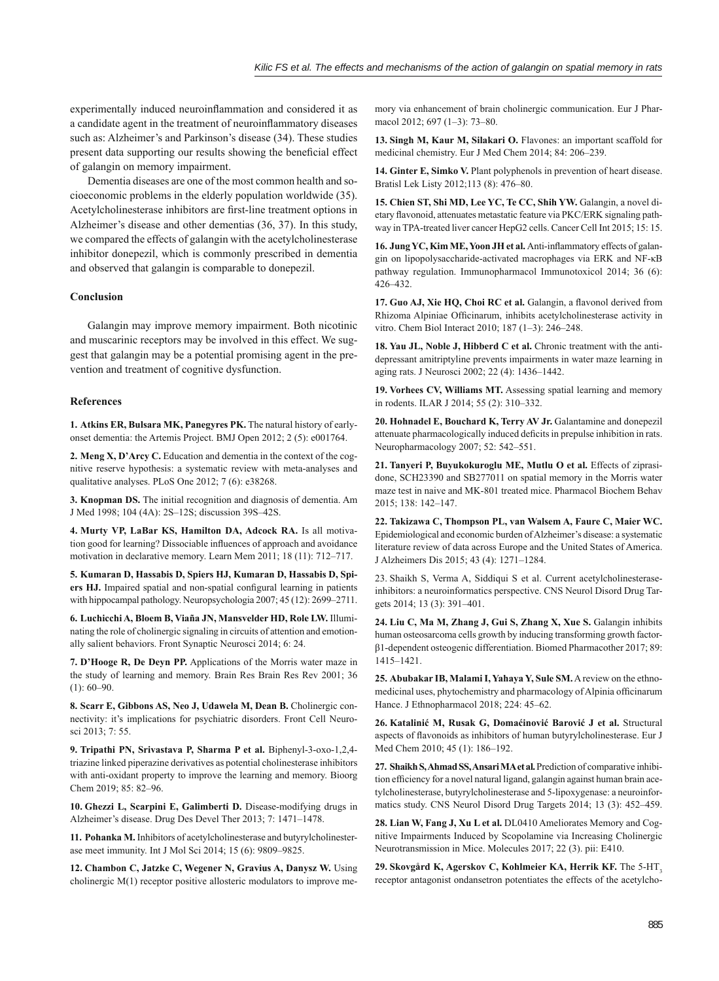experimentally induced neuroinflammation and considered it as a candidate agent in the treatment of neuroinflammatory diseases such as: Alzheimer's and Parkinson's disease (34). These studies present data supporting our results showing the beneficial effect of galangin on memory impairment.

Dementia diseases are one of the most common health and socioeconomic problems in the elderly population worldwide (35). Acetylcholinesterase inhibitors are first-line treatment options in Alzheimer's disease and other dementias (36, 37). In this study, we compared the effects of galangin with the acetylcholinesterase inhibitor donepezil, which is commonly prescribed in dementia and observed that galangin is comparable to donepezil.

#### **Conclusion**

Galangin may improve memory impairment. Both nicotinic and muscarinic receptors may be involved in this effect. We suggest that galangin may be a potential promising agent in the prevention and treatment of cognitive dysfunction.

#### **References**

**1. Atkins ER, Bulsara MK, Panegyres PK.** The natural history of earlyonset dementia: the Artemis Project. BMJ Open 2012; 2 (5): e001764.

2. Meng X, D'Arcy C. Education and dementia in the context of the cognitive reserve hypothesis: a systematic review with meta-analyses and qualitative analyses. PLoS One 2012; 7 (6): e38268.

**3. Knopman DS.** The initial recognition and diagnosis of dementia. Am J Med 1998; 104 (4A): 2S–12S; discussion 39S–42S.

**4. Murty VP, LaBar KS, Hamilton DA, Adcock RA.** Is all motivation good for learning? Dissociable influences of approach and avoidance motivation in declarative memory. Learn Mem 2011; 18 (11): 712–717.

**5. Kumaran D, Hassabis D, Spiers HJ, Kumaran D, Hassabis D, Spi**ers HJ. Impaired spatial and non-spatial configural learning in patients with hippocampal pathology. Neuropsychologia 2007; 45 (12): 2699–2711.

**6. Luchicchi A, Bloem B, Viaña JN, Mansvelder HD, Role LW.** Illuminating the role of cholinergic signaling in circuits of attention and emotionally salient behaviors. Front Synaptic Neurosci 2014; 6: 24.

**7. D'Hooge R, De Deyn PP.** Applications of the Morris water maze in the study of learning and memory. Brain Res Brain Res Rev 2001; 36  $(1): 60 - 90.$ 

**8. Scarr E, Gibbons AS, Neo J, Udawela M, Dean B.** Cholinergic connectivity: it's implications for psychiatric disorders. Front Cell Neurosci 2013; 7: 55.

**9. Tripathi PN, Srivastava P, Sharma P et al.** Biphenyl-3-oxo-1,2,4 triazine linked piperazine derivatives as potential cholinesterase inhibitors with anti-oxidant property to improve the learning and memory. Bioorg Chem 2019; 85: 82–96.

**10. Ghezzi L, Scarpini E, Galimberti D.** Disease-modifying drugs in Alzheimer's disease. Drug Des Devel Ther 2013; 7: 1471–1478.

11. Pohanka M. Inhibitors of acetylcholinesterase and butyrylcholinesterase meet immunity. Int J Mol Sci 2014; 15 (6): 9809–9825.

**12. Chambon C, Jatzke C, Wegener N, Gravius A, Danysz W.** Using cholinergic M(1) receptor positive allosteric modulators to improve me-

mory via enhancement of brain cholinergic communication. Eur J Pharmacol 2012; 697 (1–3): 73–80.

**13. Singh M, Kaur M, Silakari O.** Flavones: an important scaffold for medicinal chemistry. Eur J Med Chem 2014; 84: 206–239.

14. Ginter E, Simko V. Plant polyphenols in prevention of heart disease. Bratisl Lek Listy 2012;113 (8): 476–80.

**15. Chien ST, Shi MD, Lee YC, Te CC, Shih YW.** Galangin, a novel dietary flavonoid, attenuates metastatic feature via PKC/ERK signaling pathway in TPA-treated liver cancer HepG2 cells. Cancer Cell Int 2015; 15: 15.

16. Jung YC, Kim ME, Yoon JH et al. Anti-inflammatory effects of galangin on lipopolysaccharide-activated macrophages via ERK and NF-κB pathway regulation. Immunopharmacol Immunotoxicol 2014; 36 (6): 426–432.

17. Guo AJ, Xie HQ, Choi RC et al. Galangin, a flavonol derived from Rhizoma Alpiniae Officinarum, inhibits acetylcholinesterase activity in vitro. Chem Biol Interact 2010; 187 (1–3): 246–248.

18. Yau JL, Noble J, Hibberd C et al. Chronic treatment with the antidepressant amitriptyline prevents impairments in water maze learning in aging rats. J Neurosci 2002; 22 (4): 1436–1442.

**19. Vorhees CV, Williams MT.** Assessing spatial learning and memory in rodents. ILAR J 2014; 55 (2): 310–332.

**20. Hohnadel E, Bouchard K, Terry AV Jr.** Galantamine and donepezil attenuate pharmacologically induced deficits in prepulse inhibition in rats. Neuropharmacology 2007; 52: 542–551.

**21. Tanyeri P, Buyukokuroglu ME, Mutlu O et al.** Effects of ziprasidone, SCH23390 and SB277011 on spatial memory in the Morris water maze test in naive and MK-801 treated mice. Pharmacol Biochem Behav 2015; 138: 142–147.

**22. Takizawa C, Thompson PL, van Walsem A, Faure C, Maier WC.** Epidemiological and economic burden of Alzheimer's disease: a systematic literature review of data across Europe and the United States of America. J Alzheimers Dis 2015; 43 (4): 1271–1284.

23. Shaikh S, Verma A, Siddiqui S et al. Current acetylcholinesteraseinhibitors: a neuroinformatics perspective. CNS Neurol Disord Drug Targets 2014; 13 (3): 391–401.

24. Liu C, Ma M, Zhang J, Gui S, Zhang X, Xue S. Galangin inhibits human osteosarcoma cells growth by inducing transforming growth factorβ1-dependent osteogenic differentiation. Biomed Pharmacother 2017; 89: 1415–1421.

**25. Abubakar IB, Malami I, Yahaya Y, Sule SM.** A review on the ethnomedicinal uses, phytochemistry and pharmacology of Alpinia officinarum Hance. J Ethnopharmacol 2018; 224: 45–62.

**26. Katalinić M, Rusak G, Domaćinović Barović J et al.** Structural aspects of flavonoids as inhibitors of human butyrylcholinesterase. Eur J Med Chem 2010; 45 (1): 186–192.

**27. Shaikh S, Ahmad SS, Ansari MA et al.** Prediction of comparative inhibition efficiency for a novel natural ligand, galangin against human brain acetylcholinesterase, butyrylcholinesterase and 5-lipoxygenase: a neuroinformatics study. CNS Neurol Disord Drug Targets 2014; 13 (3): 452–459.

28. Lian W, Fang J, Xu L et al. DL0410 Ameliorates Memory and Cognitive Impairments Induced by Scopolamine via Increasing Cholinergic Neurotransmission in Mice. Molecules 2017; 22 (3). pii: E410.

**29. Skovgård K, Agerskov C, Kohlmeier KA, Herrik KF.** The 5-HT3 receptor antagonist ondansetron potentiates the effects of the acetylcho-